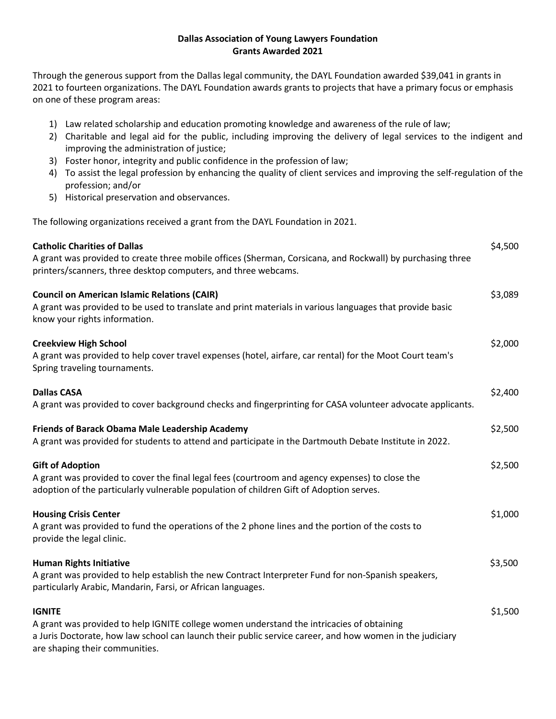## **Dallas Association of Young Lawyers Foundation Grants Awarded 2021**

Through the generous support from the Dallas legal community, the DAYL Foundation awarded \$39,041 in grants in 2021 to fourteen organizations. The DAYL Foundation awards grants to projects that have a primary focus or emphasis on one of these program areas:

- 1) Law related scholarship and education promoting knowledge and awareness of the rule of law;
- 2) Charitable and legal aid for the public, including improving the delivery of legal services to the indigent and improving the administration of justice;
- 3) Foster honor, integrity and public confidence in the profession of law;
- 4) To assist the legal profession by enhancing the quality of client services and improving the self-regulation of the profession; and/or
- 5) Historical preservation and observances.

The following organizations received a grant from the DAYL Foundation in 2021.

| <b>Catholic Charities of Dallas</b><br>A grant was provided to create three mobile offices (Sherman, Corsicana, and Rockwall) by purchasing three<br>printers/scanners, three desktop computers, and three webcams.                                      | \$4,500 |
|----------------------------------------------------------------------------------------------------------------------------------------------------------------------------------------------------------------------------------------------------------|---------|
| <b>Council on American Islamic Relations (CAIR)</b><br>A grant was provided to be used to translate and print materials in various languages that provide basic<br>know your rights information.                                                         | \$3,089 |
| <b>Creekview High School</b><br>A grant was provided to help cover travel expenses (hotel, airfare, car rental) for the Moot Court team's<br>Spring traveling tournaments.                                                                               | \$2,000 |
| <b>Dallas CASA</b><br>A grant was provided to cover background checks and fingerprinting for CASA volunteer advocate applicants.                                                                                                                         | \$2,400 |
| Friends of Barack Obama Male Leadership Academy<br>A grant was provided for students to attend and participate in the Dartmouth Debate Institute in 2022.                                                                                                | \$2,500 |
| <b>Gift of Adoption</b><br>A grant was provided to cover the final legal fees (courtroom and agency expenses) to close the<br>adoption of the particularly vulnerable population of children Gift of Adoption serves.                                    | \$2,500 |
| <b>Housing Crisis Center</b><br>A grant was provided to fund the operations of the 2 phone lines and the portion of the costs to<br>provide the legal clinic.                                                                                            | \$1,000 |
| <b>Human Rights Initiative</b><br>A grant was provided to help establish the new Contract Interpreter Fund for non-Spanish speakers,<br>particularly Arabic, Mandarin, Farsi, or African languages.                                                      | \$3,500 |
| <b>IGNITE</b><br>A grant was provided to help IGNITE college women understand the intricacies of obtaining<br>a Juris Doctorate, how law school can launch their public service career, and how women in the judiciary<br>are shaping their communities. | \$1,500 |